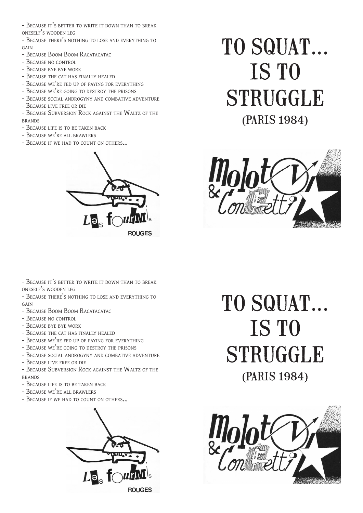- BECAUSE IT'S BETTER TO WRITE IT DOWN THAN TO BREAK oneself's wooden leg

- Because there's nothing to lose and everything to  $GAN$ 

- BECAUSE BOOM BOOM RACATACATAC
- Because no control
- Because bye bye work
- BECAUSE THE CAT HAS FINALLY HEALED
- BECAUSE WE'RE FED UP OF PAYING FOR EVERYTHING
- BECAUSE WE'RE GOING TO DESTROY THE PRISONS
- BECAUSE SOCIAL ANDROGYNY AND COMBATIVE ADVENTURE
- Because live free or die

- Because Subversion Rock against the Waltz of the **BRANDS** 

- BECAUSE LIFE IS TO BE TAKEN BACK
- Because we're all brawlers
- BECAUSE IF WE HAD TO COUNT ON OTHERS...



## TO SQUAT... IS TO STRUGGLE (paris 1984)



- BECAUSE IT'S BETTER TO WRITE IT DOWN THAN TO BREAK oneself's wooden leg
- BECAUSE THERE'S NOTHING TO LOSE AND EVERYTHING TO GAIN
- BECAUSE BOOM BOOM RACATACATAC
- Because no control
- Because bye bye work
- BECAUSE THE CAT HAS FINALLY HEALED
- Because we're fed up of paying for everything
- BECAUSE WE'RE GOING TO DESTROY THE PRISONS
- BECAUSE SOCIAL ANDROGYNY AND COMBATIVE ADVENTURE
- Because live free or die
- BECAUSE SUBVERSION ROCK AGAINST THE WALTZ OF THE brands
- Because life is to be taken back
- Because we're all brawlers
- BECAUSE IF WE HAD TO COUNT ON OTHERS...



TO SQUAT... IS TO **STRUGGLE** (paris 1984)

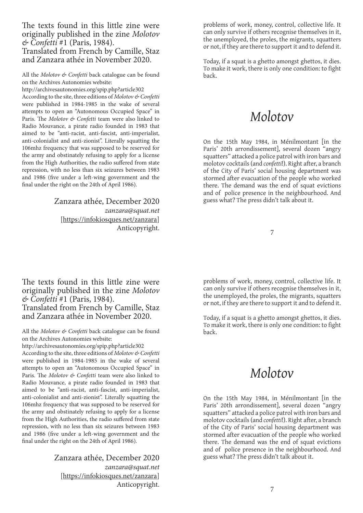The texts found in this little zine were originally published in the zine *Molotov & Confetti* #1 (Paris, 1984). Translated from French by Camille, Staz and Zanzara athée in November 2020.

All the *Molotov & Confetti* back catalogue can be found on the Archives Autonomies website:

http://archivesautonomies.org/spip.php?article302 According to the site, three editions of *Molotov & Confetti* were published in 1984-1985 in the wake of several attempts to open an "Autonomous Occupied Space" in Paris. The *Molotov & Confetti* team were also linked to Radio Mouvance, a pirate radio founded in 1983 that aimed to be "anti-racist, anti-fascist, anti-imperialist, anti-colonialist and anti-zionist". Literally squatting the 106mhz frequency that was supposed to be reserved for the army and obstinately refusing to apply for a license from the High Authorities, the radio suffered from state repression, with no less than six seizures between 1983 and 1986 (five under a left-wing government and the final under the right on the 24th of April 1986).

> Zanzara athée, December 2020 *zanzara@squat.net* [https://infokiosques.net/zanzara] Anticopyright. 7

The texts found in this little zine were originally published in the zine *Molotov & Confetti* #1 (Paris, 1984). Translated from French by Camille, Staz and Zanzara athée in November 2020.

All the *Molotov & Confetti* back catalogue can be found on the Archives Autonomies website:

http://archivesautonomies.org/spip.php?article302

According to the site, three editions of *Molotov & Confetti* were published in 1984-1985 in the wake of several attempts to open an "Autonomous Occupied Space" in Paris. The *Molotov & Confetti* team were also linked to Radio Mouvance, a pirate radio founded in 1983 that aimed to be "anti-racist, anti-fascist, anti-imperialist, anti-colonialist and anti-zionist". Literally squatting the 106mhz frequency that was supposed to be reserved for the army and obstinately refusing to apply for a license from the High Authorities, the radio suffered from state repression, with no less than six seizures between 1983 and 1986 (five under a left-wing government and the final under the right on the 24th of April 1986).

> Zanzara athée, December 2020 *zanzara@squat.net* [https://infokiosques.net/zanzara] Anticopyright. 7

problems of work, money, control, collective life. It can only survive if others recognise themselves in it, the unemployed, the proles, the migrants, squatters or not, if they are there to support it and to defend it.

Today, if a squat is a ghetto amongst ghettos, it dies. To make it work, there is only one condition: to fight back.

## *Molotov*

On the 15th May 1984, in Ménilmontant [in the Paris' 20th arrondissement], several dozen "angry squatters" attacked a police patrol with iron bars and molotov cocktails (and *confetti*!). Right after, a branch of the City of Paris' social housing department was stormed after evacuation of the people who worked there. The demand was the end of squat evictions and of police presence in the neighbourhood. And guess what? The press didn't talk about it.

problems of work, money, control, collective life. It can only survive if others recognise themselves in it, the unemployed, the proles, the migrants, squatters or not, if they are there to support it and to defend it.

Today, if a squat is a ghetto amongst ghettos, it dies. To make it work, there is only one condition: to fight back.

## *Molotov*

On the 15th May 1984, in Ménilmontant [in the Paris' 20th arrondissement], several dozen "angry squatters" attacked a police patrol with iron bars and molotov cocktails (and *confetti*!). Right after, a branch of the City of Paris' social housing department was stormed after evacuation of the people who worked there. The demand was the end of squat evictions and of police presence in the neighbourhood. And guess what? The press didn't talk about it.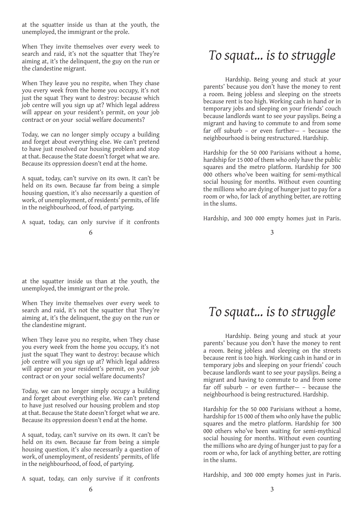at the squatter inside us than at the youth, the unemployed, the immigrant or the prole.

When They invite themselves over every week to search and raid, it's not the squatter that They're aiming at, it's the delinquent, the guy on the run or the clandestine migrant.

When They leave you no respite, when They chase you every week from the home you occupy, it's not just the squat They want to destroy: because which job centre will you sign up at? Which legal address will appear on your resident's permit, on your job contract or on your social welfare documents?

Today, we can no longer simply occupy a building and forget about everything else. We can't pretend to have just resolved our housing problem and stop at that. Because the State doesn't forget what we are. Because its oppression doesn't end at the home.

A squat, today, can't survive on its own. It can't be held on its own. Because far from being a simple housing question, it's also necessarily a question of work, of unemployment, of residents' permits, of life in the neighbourhood, of food, of partying.

A squat, today, can only survive if it confronts

at the squatter inside us than at the youth, the unemployed, the immigrant or the prole.

When They invite themselves over every week to search and raid, it's not the squatter that They're aiming at, it's the delinquent, the guy on the run or the clandestine migrant.

When They leave you no respite, when They chase you every week from the home you occupy, it's not just the squat They want to destroy: because which job centre will you sign up at? Which legal address will appear on your resident's permit, on your job contract or on your social welfare documents?

Today, we can no longer simply occupy a building and forget about everything else. We can't pretend to have just resolved our housing problem and stop at that. Because the State doesn't forget what we are. Because its oppression doesn't end at the home.

A squat, today, can't survive on its own. It can't be held on its own. Because far from being a simple housing question, it's also necessarily a question of work, of unemployment, of residents' permits, of life in the neighbourhood, of food, of partying.

A squat, today, can only survive if it confronts

Hardship. Being young and stuck at your parents' because you don't have the money to rent a room. Being jobless and sleeping on the streets because rent is too high. Working cash in hand or in temporary jobs and sleeping on your friends' couch because landlords want to see your payslips. Being a migrant and having to commute to and from some far off suburb – or even further— – because the neighbourhood is being restructured. Hardship.

Hardship for the 50 000 Parisians without a home, hardship for 15 000 of them who only have the public squares and the metro platform. Hardship for 300 000 others who've been waiting for semi-mythical social housing for months. Without even counting the millions who are dying of hunger just to pay for a room or who, for lack of anything better, are rotting in the slums.

Hardship, and 300 000 empty homes just in Paris.

3

## *To squat... is to struggle*

Hardship. Being young and stuck at your parents' because you don't have the money to rent a room. Being jobless and sleeping on the streets because rent is too high. Working cash in hand or in temporary jobs and sleeping on your friends' couch because landlords want to see your payslips. Being a migrant and having to commute to and from some far off suburb – or even further— – because the neighbourhood is being restructured. Hardship.

Hardship for the 50 000 Parisians without a home, hardship for 15 000 of them who only have the public squares and the metro platform. Hardship for 300 000 others who've been waiting for semi-mythical social housing for months. Without even counting the millions who are dying of hunger just to pay for a room or who, for lack of anything better, are rotting in the slums.

Hardship, and 300 000 empty homes just in Paris.